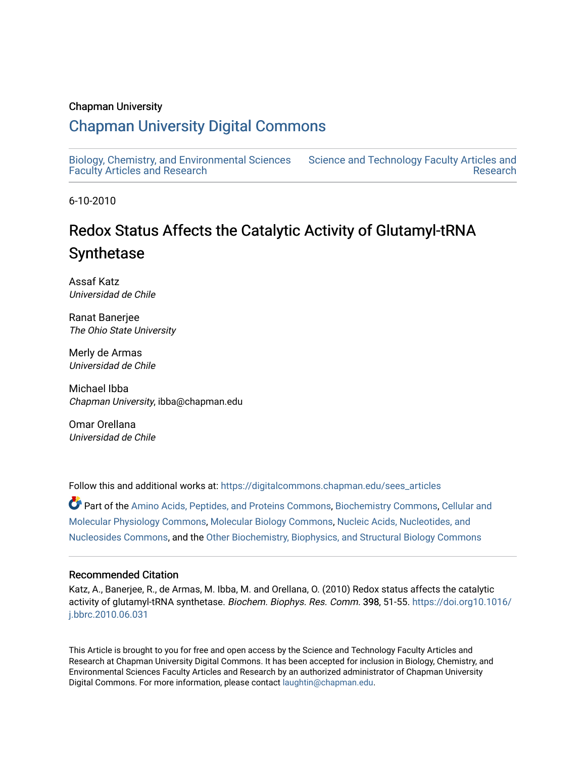# Chapman University

# [Chapman University Digital Commons](https://digitalcommons.chapman.edu/)

[Biology, Chemistry, and Environmental Sciences](https://digitalcommons.chapman.edu/sees_articles) [Faculty Articles and Research](https://digitalcommons.chapman.edu/sees_articles)

[Science and Technology Faculty Articles and](https://digitalcommons.chapman.edu/science_articles)  [Research](https://digitalcommons.chapman.edu/science_articles) 

6-10-2010

# Redox Status Affects the Catalytic Activity of Glutamyl-tRNA Synthetase

Assaf Katz Universidad de Chile

Ranat Banerjee The Ohio State University

Merly de Armas Universidad de Chile

Michael Ibba Chapman University, ibba@chapman.edu

Omar Orellana Universidad de Chile

Follow this and additional works at: [https://digitalcommons.chapman.edu/sees\\_articles](https://digitalcommons.chapman.edu/sees_articles?utm_source=digitalcommons.chapman.edu%2Fsees_articles%2F357&utm_medium=PDF&utm_campaign=PDFCoverPages) 

Part of the [Amino Acids, Peptides, and Proteins Commons](http://network.bepress.com/hgg/discipline/954?utm_source=digitalcommons.chapman.edu%2Fsees_articles%2F357&utm_medium=PDF&utm_campaign=PDFCoverPages), [Biochemistry Commons](http://network.bepress.com/hgg/discipline/2?utm_source=digitalcommons.chapman.edu%2Fsees_articles%2F357&utm_medium=PDF&utm_campaign=PDFCoverPages), [Cellular and](http://network.bepress.com/hgg/discipline/70?utm_source=digitalcommons.chapman.edu%2Fsees_articles%2F357&utm_medium=PDF&utm_campaign=PDFCoverPages) [Molecular Physiology Commons,](http://network.bepress.com/hgg/discipline/70?utm_source=digitalcommons.chapman.edu%2Fsees_articles%2F357&utm_medium=PDF&utm_campaign=PDFCoverPages) [Molecular Biology Commons](http://network.bepress.com/hgg/discipline/5?utm_source=digitalcommons.chapman.edu%2Fsees_articles%2F357&utm_medium=PDF&utm_campaign=PDFCoverPages), [Nucleic Acids, Nucleotides, and](http://network.bepress.com/hgg/discipline/935?utm_source=digitalcommons.chapman.edu%2Fsees_articles%2F357&utm_medium=PDF&utm_campaign=PDFCoverPages)  [Nucleosides Commons,](http://network.bepress.com/hgg/discipline/935?utm_source=digitalcommons.chapman.edu%2Fsees_articles%2F357&utm_medium=PDF&utm_campaign=PDFCoverPages) and the [Other Biochemistry, Biophysics, and Structural Biology Commons](http://network.bepress.com/hgg/discipline/7?utm_source=digitalcommons.chapman.edu%2Fsees_articles%2F357&utm_medium=PDF&utm_campaign=PDFCoverPages)

## Recommended Citation

Katz, A., Banerjee, R., de Armas, M. Ibba, M. and Orellana, O. (2010) Redox status affects the catalytic activity of glutamyl-tRNA synthetase. Biochem. Biophys. Res. Comm. 398, 51-55. [https://doi.org10.1016/](https://doi.org/10.1016/j.bbrc.2010.06.031) [j.bbrc.2010.06.031](https://doi.org/10.1016/j.bbrc.2010.06.031)

This Article is brought to you for free and open access by the Science and Technology Faculty Articles and Research at Chapman University Digital Commons. It has been accepted for inclusion in Biology, Chemistry, and Environmental Sciences Faculty Articles and Research by an authorized administrator of Chapman University Digital Commons. For more information, please contact [laughtin@chapman.edu](mailto:laughtin@chapman.edu).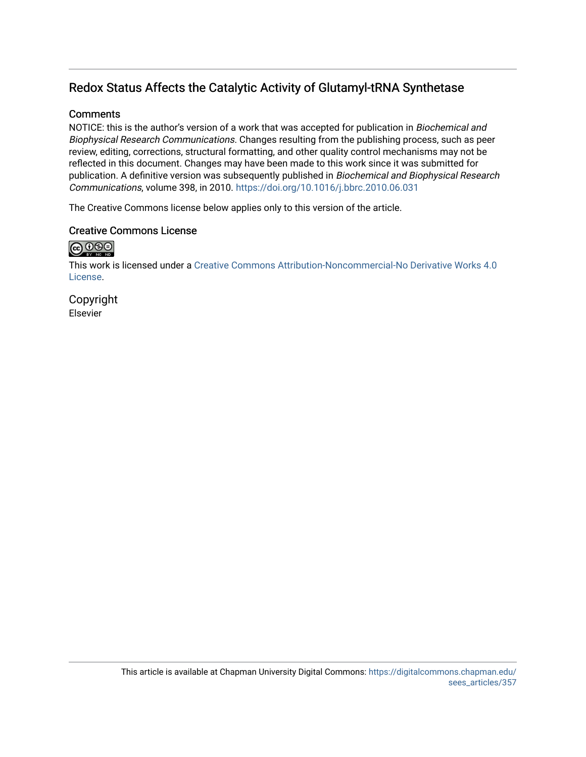# Redox Status Affects the Catalytic Activity of Glutamyl-tRNA Synthetase

# **Comments**

NOTICE: this is the author's version of a work that was accepted for publication in Biochemical and Biophysical Research Communications. Changes resulting from the publishing process, such as peer review, editing, corrections, structural formatting, and other quality control mechanisms may not be reflected in this document. Changes may have been made to this work since it was submitted for publication. A definitive version was subsequently published in Biochemical and Biophysical Research Communications, volume 398, in 2010. <https://doi.org/10.1016/j.bbrc.2010.06.031>

The Creative Commons license below applies only to this version of the article.

# Creative Commons License

# $\bigoplus_{w} \bigoplus_{w} \bigoplus_{w}$

This work is licensed under a [Creative Commons Attribution-Noncommercial-No Derivative Works 4.0](https://creativecommons.org/licenses/by-nc-nd/4.0/) [License](https://creativecommons.org/licenses/by-nc-nd/4.0/).

Copyright Elsevier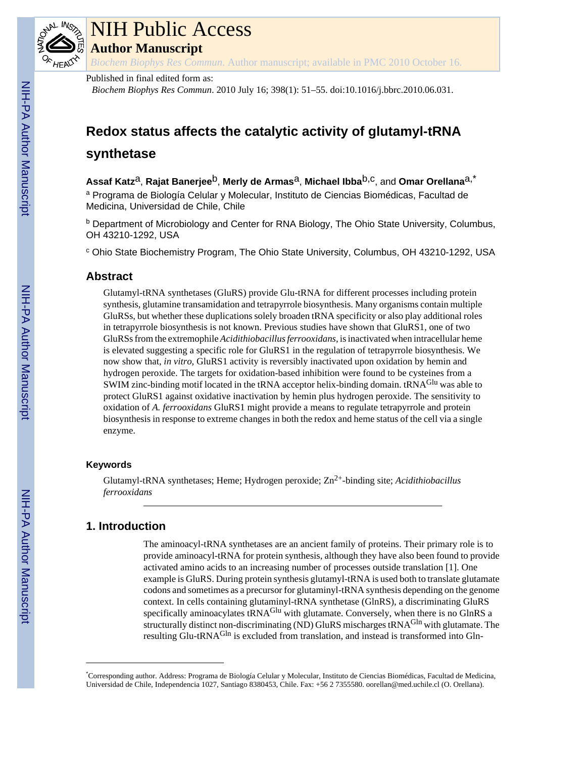

# NIH Public Access

**Author Manuscript**

*Biochem Biophys Res Commun*. Author manuscript; available in PMC 2010 October 16.

## Published in final edited form as:

*Biochem Biophys Res Commun*. 2010 July 16; 398(1): 51–55. doi:10.1016/j.bbrc.2010.06.031.

# **Redox status affects the catalytic activity of glutamyl-tRNA**

# **synthetase**

**Assaf Katz**a, **Rajat Banerjee**b, **Merly de Armas**a, **Michael Ibba**b,c, and **Omar Orellana**a,\* <sup>a</sup> Programa de Biología Celular y Molecular, Instituto de Ciencias Biomédicas, Facultad de Medicina, Universidad de Chile, Chile

<sup>b</sup> Department of Microbiology and Center for RNA Biology, The Ohio State University, Columbus, OH 43210-1292, USA

<sup>c</sup> Ohio State Biochemistry Program, The Ohio State University, Columbus, OH 43210-1292, USA

# **Abstract**

Glutamyl-tRNA synthetases (GluRS) provide Glu-tRNA for different processes including protein synthesis, glutamine transamidation and tetrapyrrole biosynthesis. Many organisms contain multiple GluRSs, but whether these duplications solely broaden tRNA specificity or also play additional roles in tetrapyrrole biosynthesis is not known. Previous studies have shown that GluRS1, one of two GluRSs from the extremophile *Acidithiobacillus ferrooxidans*, is inactivated when intracellular heme is elevated suggesting a specific role for GluRS1 in the regulation of tetrapyrrole biosynthesis. We now show that, *in vitro*, GluRS1 activity is reversibly inactivated upon oxidation by hemin and hydrogen peroxide. The targets for oxidation-based inhibition were found to be cysteines from a SWIM zinc-binding motif located in the tRNA acceptor helix-binding domain. tRNA<sup>Glu</sup> was able to protect GluRS1 against oxidative inactivation by hemin plus hydrogen peroxide. The sensitivity to oxidation of *A. ferrooxidans* GluRS1 might provide a means to regulate tetrapyrrole and protein biosynthesis in response to extreme changes in both the redox and heme status of the cell via a single enzyme.

## **Keywords**

Glutamyl-tRNA synthetases; Heme; Hydrogen peroxide; Zn<sup>2+</sup>-binding site; *Acidithiobacillus ferrooxidans*

# **1. Introduction**

The aminoacyl-tRNA synthetases are an ancient family of proteins. Their primary role is to provide aminoacyl-tRNA for protein synthesis, although they have also been found to provide activated amino acids to an increasing number of processes outside translation [1]. One example is GluRS. During protein synthesis glutamyl-tRNA is used both to translate glutamate codons and sometimes as a precursor for glutaminyl-tRNA synthesis depending on the genome context. In cells containing glutaminyl-tRNA synthetase (GlnRS), a discriminating GluRS specifically aminoacylates tRNA<sup>Glu</sup> with glutamate. Conversely, when there is no GlnRS a structurally distinct non-discriminating (ND) GluRS mischarges tRNA<sup>Gln</sup> with glutamate. The resulting Glu-tRNA<sup>Gln</sup> is excluded from translation, and instead is transformed into Gln-

<sup>\*</sup>Corresponding author. Address: Programa de Biología Celular y Molecular, Instituto de Ciencias Biomédicas, Facultad de Medicina, Universidad de Chile, Independencia 1027, Santiago 8380453, Chile. Fax: +56 2 7355580. oorellan@med.uchile.cl (O. Orellana).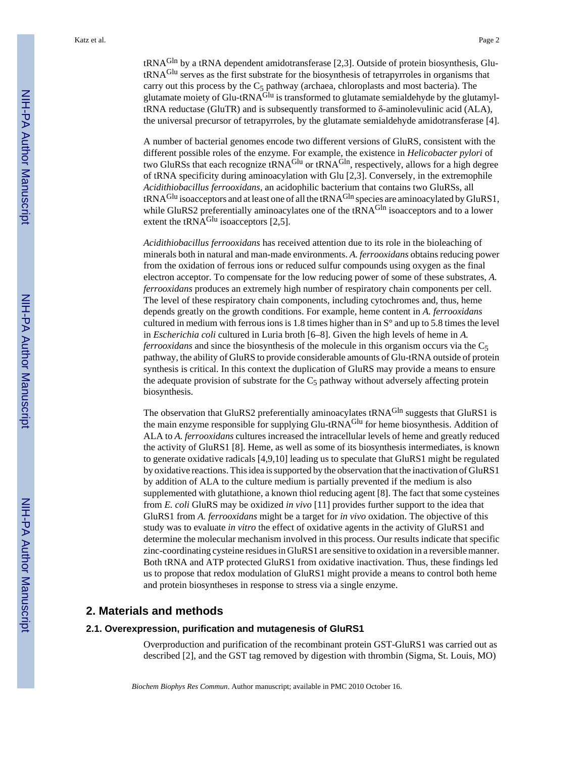tRNAGln by a tRNA dependent amidotransferase [2,3]. Outside of protein biosynthesis, GlutRNAGlu serves as the first substrate for the biosynthesis of tetrapyrroles in organisms that carry out this process by the  $C_5$  pathway (archaea, chloroplasts and most bacteria). The glutamate moiety of Glu-tRNA $^{Glu}$  is transformed to glutamate semialdehyde by the glutamyltRNA reductase (GluTR) and is subsequently transformed to δ-aminolevulinic acid (ALA), the universal precursor of tetrapyrroles, by the glutamate semialdehyde amidotransferase [4].

A number of bacterial genomes encode two different versions of GluRS, consistent with the different possible roles of the enzyme. For example, the existence in *Helicobacter pylori* of two GluRSs that each recognize tRNA<sup>Glu</sup> or tRNA<sup>Gln</sup>, respectively, allows for a high degree of tRNA specificity during aminoacylation with Glu [2,3]. Conversely, in the extremophile *Acidithiobacillus ferrooxidans*, an acidophilic bacterium that contains two GluRSs, all tRNA<sup>Glu</sup> isoacceptors and at least one of all the tRNA<sup>Gln</sup> species are aminoacylated by GluRS1, while GluRS2 preferentially aminoacylates one of the tRNA<sup>Gln</sup> isoacceptors and to a lower extent the  $tRNA<sup>Glu</sup>$  isoacceptors [2,5].

*Acidithiobacillus ferrooxidans* has received attention due to its role in the bioleaching of minerals both in natural and man-made environments. *A. ferrooxidans* obtains reducing power from the oxidation of ferrous ions or reduced sulfur compounds using oxygen as the final electron acceptor. To compensate for the low reducing power of some of these substrates, *A. ferrooxidans* produces an extremely high number of respiratory chain components per cell. The level of these respiratory chain components, including cytochromes and, thus, heme depends greatly on the growth conditions. For example, heme content in *A. ferrooxidans* cultured in medium with ferrous ions is 1.8 times higher than in  $S^{\circ}$  and up to 5.8 times the level in *Escherichia coli* cultured in Luria broth [6–8]. Given the high levels of heme in *A. ferrooxidans* and since the biosynthesis of the molecule in this organism occurs via the C<sub>5</sub> pathway, the ability of GluRS to provide considerable amounts of Glu-tRNA outside of protein synthesis is critical. In this context the duplication of GluRS may provide a means to ensure the adequate provision of substrate for the  $C_5$  pathway without adversely affecting protein biosynthesis.

The observation that GluRS2 preferentially aminoacylates tRNA<sup>Gln</sup> suggests that GluRS1 is the main enzyme responsible for supplying Glu-tRNAGlu for heme biosynthesis. Addition of ALA to *A. ferrooxidans* cultures increased the intracellular levels of heme and greatly reduced the activity of GluRS1 [8]. Heme, as well as some of its biosynthesis intermediates, is known to generate oxidative radicals [4,9,10] leading us to speculate that GluRS1 might be regulated by oxidative reactions. This idea is supported by the observation that the inactivation of GluRS1 by addition of ALA to the culture medium is partially prevented if the medium is also supplemented with glutathione, a known thiol reducing agent [8]. The fact that some cysteines from *E. coli* GluRS may be oxidized *in vivo* [11] provides further support to the idea that GluRS1 from *A. ferrooxidans* might be a target for *in vivo* oxidation. The objective of this study was to evaluate *in vitro* the effect of oxidative agents in the activity of GluRS1 and determine the molecular mechanism involved in this process. Our results indicate that specific zinc-coordinating cysteine residues in GluRS1 are sensitive to oxidation in a reversible manner. Both tRNA and ATP protected GluRS1 from oxidative inactivation. Thus, these findings led us to propose that redox modulation of GluRS1 might provide a means to control both heme and protein biosyntheses in response to stress via a single enzyme.

## **2. Materials and methods**

#### **2.1. Overexpression, purification and mutagenesis of GluRS1**

Overproduction and purification of the recombinant protein GST-GluRS1 was carried out as described [2], and the GST tag removed by digestion with thrombin (Sigma, St. Louis, MO)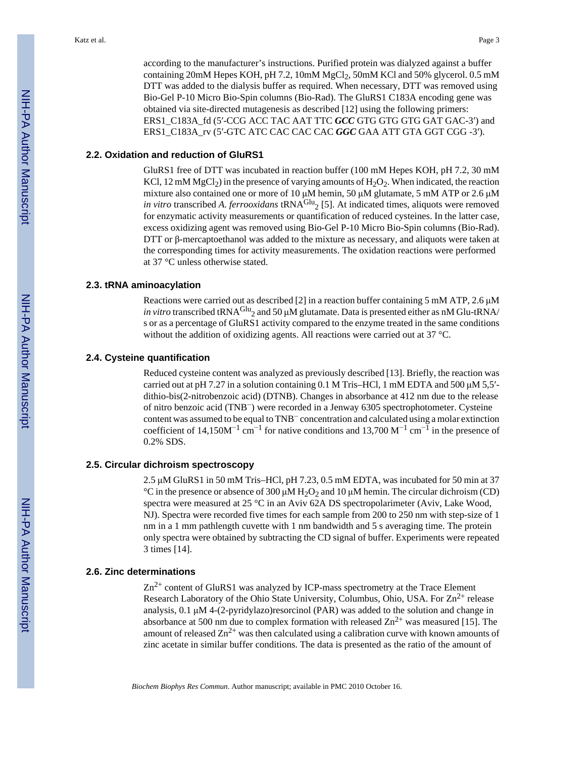according to the manufacturer's instructions. Purified protein was dialyzed against a buffer containing 20mM Hepes KOH, pH 7.2, 10mM MgCl<sub>2</sub>, 50mM KCl and 50% glycerol. 0.5 mM DTT was added to the dialysis buffer as required. When necessary, DTT was removed using Bio-Gel P-10 Micro Bio-Spin columns (Bio-Rad). The GluRS1 C183A encoding gene was obtained via site-directed mutagenesis as described [12] using the following primers: ERS1\_C183A\_fd (5′-CCG ACC TAC AAT TTC *GCC* GTG GTG GTG GAT GAC-3′) and ERS1\_C183A\_rv (5′-GTC ATC CAC CAC CAC *GGC* GAA ATT GTA GGT CGG -3′).

#### **2.2. Oxidation and reduction of GluRS1**

GluRS1 free of DTT was incubated in reaction buffer (100 mM Hepes KOH, pH 7.2, 30 mM KCl, 12 mM MgCl<sub>2</sub>) in the presence of varying amounts of  $H_2O_2$ . When indicated, the reaction mixture also contained one or more of 10 μM hemin, 50 μM glutamate, 5 mM ATP or 2.6 μM *in vitro* transcribed *A. ferrooxidans* tRNA $^{Glu}$ <sub>2</sub> [5]. At indicated times, aliquots were removed for enzymatic activity measurements or quantification of reduced cysteines. In the latter case, excess oxidizing agent was removed using Bio-Gel P-10 Micro Bio-Spin columns (Bio-Rad). DTT or β-mercaptoethanol was added to the mixture as necessary, and aliquots were taken at the corresponding times for activity measurements. The oxidation reactions were performed at 37 °C unless otherwise stated.

#### **2.3. tRNA aminoacylation**

Reactions were carried out as described [2] in a reaction buffer containing 5 mM ATP, 2.6 μM *in vitro* transcribed tRNA<sup>Glu</sup><sub>2</sub> and 50  $\mu$ M glutamate. Data is presented either as nM Glu-tRNA/ s or as a percentage of GluRS1 activity compared to the enzyme treated in the same conditions without the addition of oxidizing agents. All reactions were carried out at 37 °C.

#### **2.4. Cysteine quantification**

Reduced cysteine content was analyzed as previously described [13]. Briefly, the reaction was carried out at pH 7.27 in a solution containing 0.1 M Tris–HCl, 1 mM EDTA and 500  $\mu$ M 5,5′dithio-bis(2-nitrobenzoic acid) (DTNB). Changes in absorbance at 412 nm due to the release of nitro benzoic acid (TNB−) were recorded in a Jenway 6305 spectrophotometer. Cysteine content was assumed to be equal to TNB− concentration and calculated using a molar extinction coefficient of 14,150M<sup>-1</sup> cm<sup>-1</sup> for native conditions and 13,700 M<sup>-1</sup> cm<sup>-1</sup> in the presence of 0.2% SDS.

#### **2.5. Circular dichroism spectroscopy**

2.5 μM GluRS1 in 50 mM Tris–HCl, pH 7.23, 0.5 mM EDTA, was incubated for 50 min at 37 <sup>°</sup>C in the presence or absence of 300  $\mu$ M H<sub>2</sub>O<sub>2</sub> and 10  $\mu$ M hemin. The circular dichroism (CD) spectra were measured at 25 °C in an Aviv 62A DS spectropolarimeter (Aviv, Lake Wood, NJ). Spectra were recorded five times for each sample from 200 to 250 nm with step-size of 1 nm in a 1 mm pathlength cuvette with 1 nm bandwidth and 5 s averaging time. The protein only spectra were obtained by subtracting the CD signal of buffer. Experiments were repeated 3 times [14].

#### **2.6. Zinc determinations**

 $Zn^{2+}$  content of GluRS1 was analyzed by ICP-mass spectrometry at the Trace Element Research Laboratory of the Ohio State University, Columbus, Ohio, USA. For  $\text{Zn}^{2+}$  release analysis, 0.1 μM 4-(2-pyridylazo)resorcinol (PAR) was added to the solution and change in absorbance at 500 nm due to complex formation with released  $\text{Zn}^{2+}$  was measured [15]. The amount of released  $Zn^{2+}$  was then calculated using a calibration curve with known amounts of zinc acetate in similar buffer conditions. The data is presented as the ratio of the amount of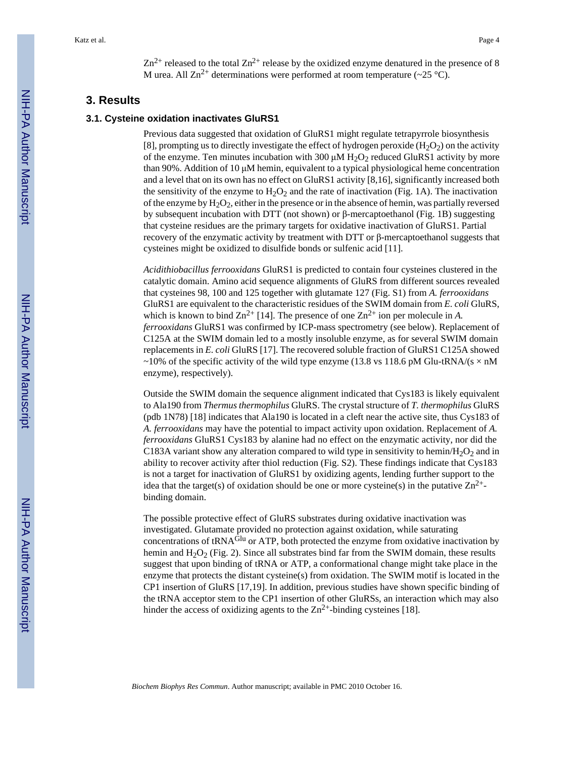$Zn^{2+}$  released to the total  $Zn^{2+}$  release by the oxidized enzyme denatured in the presence of 8 M urea. All  $\text{Zn}^{2+}$  determinations were performed at room temperature (~25 °C).

# **3. Results**

#### **3.1. Cysteine oxidation inactivates GluRS1**

Previous data suggested that oxidation of GluRS1 might regulate tetrapyrrole biosynthesis [8], prompting us to directly investigate the effect of hydrogen peroxide  $(H_2O_2)$  on the activity of the enzyme. Ten minutes incubation with 300  $\mu$ M H<sub>2</sub>O<sub>2</sub> reduced GluRS1 activity by more than 90%. Addition of 10 μM hemin, equivalent to a typical physiological heme concentration and a level that on its own has no effect on GluRS1 activity [8,16], significantly increased both the sensitivity of the enzyme to  $H_2O_2$  and the rate of inactivation (Fig. 1A). The inactivation of the enzyme by  $H_2O_2$ , either in the presence or in the absence of hemin, was partially reversed by subsequent incubation with DTT (not shown) or β-mercaptoethanol (Fig. 1B) suggesting that cysteine residues are the primary targets for oxidative inactivation of GluRS1. Partial recovery of the enzymatic activity by treatment with DTT or β-mercaptoethanol suggests that cysteines might be oxidized to disulfide bonds or sulfenic acid [11].

*Acidithiobacillus ferrooxidans* GluRS1 is predicted to contain four cysteines clustered in the catalytic domain. Amino acid sequence alignments of GluRS from different sources revealed that cysteines 98, 100 and 125 together with glutamate 127 (Fig. S1) from *A. ferrooxidans* GluRS1 are equivalent to the characteristic residues of the SWIM domain from *E. coli* GluRS, which is known to bind  $\text{Zn}^{2+}$  [14]. The presence of one  $\text{Zn}^{2+}$  ion per molecule in *A*. *ferrooxidans* GluRS1 was confirmed by ICP-mass spectrometry (see below). Replacement of C125A at the SWIM domain led to a mostly insoluble enzyme, as for several SWIM domain replacements in *E. coli* GluRS [17]. The recovered soluble fraction of GluRS1 C125A showed ~10% of the specific activity of the wild type enzyme (13.8 vs 118.6 pM Glu-tRNA/(s  $\times$  nM enzyme), respectively).

Outside the SWIM domain the sequence alignment indicated that Cys183 is likely equivalent to Ala190 from *Thermus thermophilus* GluRS. The crystal structure of *T. thermophilus* GluRS (pdb 1N78) [18] indicates that Ala190 is located in a cleft near the active site, thus Cys183 of *A. ferrooxidans* may have the potential to impact activity upon oxidation. Replacement of *A. ferrooxidans* GluRS1 Cys183 by alanine had no effect on the enzymatic activity, nor did the C183A variant show any alteration compared to wild type in sensitivity to hemin/ $H_2O_2$  and in ability to recover activity after thiol reduction (Fig. S2). These findings indicate that Cys183 is not a target for inactivation of GluRS1 by oxidizing agents, lending further support to the idea that the target(s) of oxidation should be one or more cysteine(s) in the putative  $\text{Zn}^{2+}$ binding domain.

The possible protective effect of GluRS substrates during oxidative inactivation was investigated. Glutamate provided no protection against oxidation, while saturating concentrations of  $tRNA<sup>Glu</sup>$  or ATP, both protected the enzyme from oxidative inactivation by hemin and  $H_2O_2$  (Fig. 2). Since all substrates bind far from the SWIM domain, these results suggest that upon binding of tRNA or ATP, a conformational change might take place in the enzyme that protects the distant cysteine(s) from oxidation. The SWIM motif is located in the CP1 insertion of GluRS [17,19]. In addition, previous studies have shown specific binding of the tRNA acceptor stem to the CP1 insertion of other GluRSs, an interaction which may also hinder the access of oxidizing agents to the  $Zn^{2+}$ -binding cysteines [18].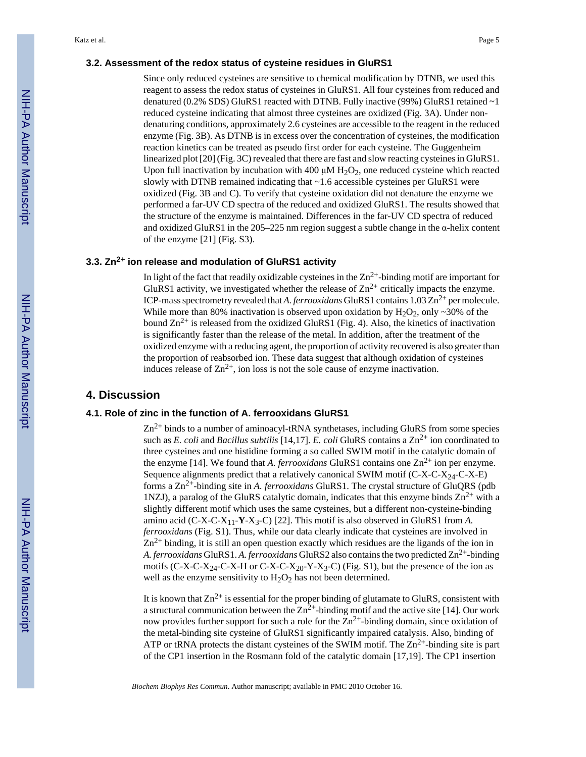#### **3.2. Assessment of the redox status of cysteine residues in GluRS1**

Since only reduced cysteines are sensitive to chemical modification by DTNB, we used this reagent to assess the redox status of cysteines in GluRS1. All four cysteines from reduced and denatured (0.2% SDS) GluRS1 reacted with DTNB. Fully inactive (99%) GluRS1 retained  $\sim$ 1 reduced cysteine indicating that almost three cysteines are oxidized (Fig. 3A). Under nondenaturing conditions, approximately 2.6 cysteines are accessible to the reagent in the reduced enzyme (Fig. 3B). As DTNB is in excess over the concentration of cysteines, the modification reaction kinetics can be treated as pseudo first order for each cysteine. The Guggenheim linearized plot [20] (Fig. 3C) revealed that there are fast and slow reacting cysteines in GluRS1. Upon full inactivation by incubation with 400  $\mu$ M H<sub>2</sub>O<sub>2</sub>, one reduced cysteine which reacted slowly with DTNB remained indicating that ~1.6 accessible cysteines per GluRS1 were oxidized (Fig. 3B and C). To verify that cysteine oxidation did not denature the enzyme we performed a far-UV CD spectra of the reduced and oxidized GluRS1. The results showed that the structure of the enzyme is maintained. Differences in the far-UV CD spectra of reduced and oxidized GluRS1 in the  $205-225$  nm region suggest a subtle change in the  $\alpha$ -helix content of the enzyme [21] (Fig. S3).

#### **3.3. Zn2+ ion release and modulation of GluRS1 activity**

In light of the fact that readily oxidizable cysteines in the  $Zn^{2+}$ -binding motif are important for GluRS1 activity, we investigated whether the release of  $\text{Zn}^{2+}$  critically impacts the enzyme. ICP-mass spectrometry revealed that *A. ferrooxidans* GluRS1 contains  $1.03 \text{ Zn}^{2+}$  per molecule. While more than 80% inactivation is observed upon oxidation by  $H_2O_2$ , only  $\sim$  30% of the bound  $\text{Zn}^{2+}$  is released from the oxidized GluRS1 (Fig. 4). Also, the kinetics of inactivation is significantly faster than the release of the metal. In addition, after the treatment of the oxidized enzyme with a reducing agent, the proportion of activity recovered is also greater than the proportion of reabsorbed ion. These data suggest that although oxidation of cysteines induces release of  $\text{Zn}^{2+}$ , ion loss is not the sole cause of enzyme inactivation.

## **4. Discussion**

#### **4.1. Role of zinc in the function of A. ferrooxidans GluRS1**

 $Zn^{2+}$  binds to a number of aminoacyl-tRNA synthetases, including GluRS from some species such as *E. coli* and *Bacillus subtilis* [14,17]. *E. coli* GluRS contains a  $\text{Zn}^{2+}$  ion coordinated to three cysteines and one histidine forming a so called SWIM motif in the catalytic domain of the enzyme [14]. We found that *A. ferrooxidans* GluRS1 contains one  $Zn^{2+}$  ion per enzyme. Sequence alignments predict that a relatively canonical SWIM motif  $(C-X-C-X_{24}-C-X-E)$ forms a Zn2+-binding site in *A. ferrooxidans* GluRS1. The crystal structure of GluQRS (pdb 1NZJ), a paralog of the GluRS catalytic domain, indicates that this enzyme binds  $Zn^{2+}$  with a slightly different motif which uses the same cysteines, but a different non-cysteine-binding amino acid (C-X-C-X<sub>11</sub>-**Y**-X<sub>3</sub>-C) [22]. This motif is also observed in GluRS1 from *A*. *ferrooxidans* (Fig. S1). Thus, while our data clearly indicate that cysteines are involved in  $Zn^{2+}$  binding, it is still an open question exactly which residues are the ligands of the ion in *A. ferrooxidans* GluRS1. *A. ferrooxidans* GluRS2 also contains the two predicted Zn2+-binding motifs (C-X-C-X<sub>24</sub>-C-X-H or C-X-C-X<sub>20</sub>-Y-X<sub>3</sub>-C) (Fig. S1), but the presence of the ion as well as the enzyme sensitivity to  $H_2O_2$  has not been determined.

It is known that  $Zn^{2+}$  is essential for the proper binding of glutamate to GluRS, consistent with a structural communication between the  $Zn^2$ +-binding motif and the active site [14]. Our work now provides further support for such a role for the  $Zn^{2+}$ -binding domain, since oxidation of the metal-binding site cysteine of GluRS1 significantly impaired catalysis. Also, binding of ATP or tRNA protects the distant cysteines of the SWIM motif. The  $\text{Zn}^{2+}$ -binding site is part of the CP1 insertion in the Rosmann fold of the catalytic domain [17,19]. The CP1 insertion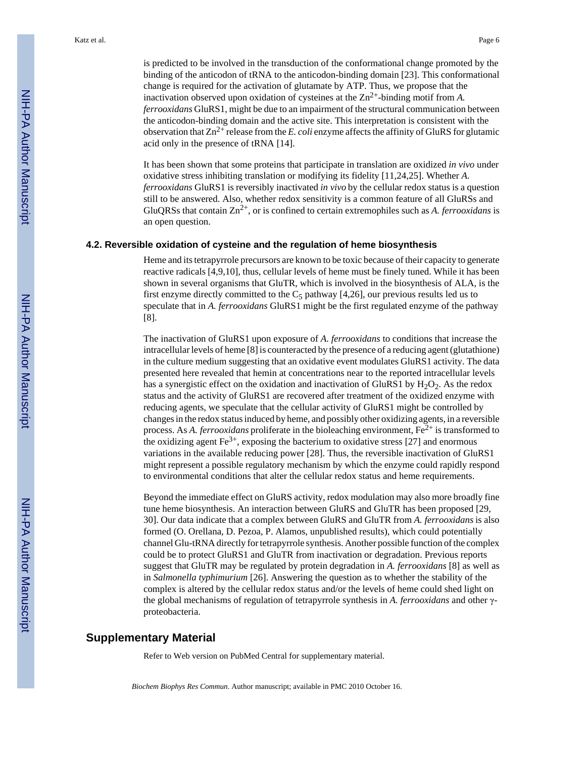is predicted to be involved in the transduction of the conformational change promoted by the binding of the anticodon of tRNA to the anticodon-binding domain [23]. This conformational change is required for the activation of glutamate by ATP. Thus, we propose that the inactivation observed upon oxidation of cysteines at the  $\text{Zn}^{2+}$ -binding motif from A. *ferrooxidans* GluRS1, might be due to an impairment of the structural communication between the anticodon-binding domain and the active site. This interpretation is consistent with the observation that  $Zn^{2+}$  release from the *E. coli* enzyme affects the affinity of GluRS for glutamic acid only in the presence of tRNA [14].

It has been shown that some proteins that participate in translation are oxidized *in vivo* under oxidative stress inhibiting translation or modifying its fidelity [11,24,25]. Whether *A. ferrooxidans* GluRS1 is reversibly inactivated *in vivo* by the cellular redox status is a question still to be answered. Also, whether redox sensitivity is a common feature of all GluRSs and GluQRSs that contain Zn2+, or is confined to certain extremophiles such as *A. ferrooxidans* is an open question.

#### **4.2. Reversible oxidation of cysteine and the regulation of heme biosynthesis**

Heme and its tetrapyrrole precursors are known to be toxic because of their capacity to generate reactive radicals [4,9,10], thus, cellular levels of heme must be finely tuned. While it has been shown in several organisms that GluTR, which is involved in the biosynthesis of ALA, is the first enzyme directly committed to the  $C_5$  pathway [4,26], our previous results led us to speculate that in *A. ferrooxidans* GluRS1 might be the first regulated enzyme of the pathway [8].

The inactivation of GluRS1 upon exposure of *A. ferrooxidans* to conditions that increase the intracellular levels of heme [8] is counteracted by the presence of a reducing agent (glutathione) in the culture medium suggesting that an oxidative event modulates GluRS1 activity. The data presented here revealed that hemin at concentrations near to the reported intracellular levels has a synergistic effect on the oxidation and inactivation of GluRS1 by  $H_2O_2$ . As the redox status and the activity of GluRS1 are recovered after treatment of the oxidized enzyme with reducing agents, we speculate that the cellular activity of GluRS1 might be controlled by changes in the redox status induced by heme, and possibly other oxidizing agents, in a reversible process. As *A. ferrooxidans* proliferate in the bioleaching environment, Fe<sup>2+</sup> is transformed to the oxidizing agent  $\text{Fe}^{3+}$ , exposing the bacterium to oxidative stress [27] and enormous variations in the available reducing power [28]. Thus, the reversible inactivation of GluRS1 might represent a possible regulatory mechanism by which the enzyme could rapidly respond to environmental conditions that alter the cellular redox status and heme requirements.

Beyond the immediate effect on GluRS activity, redox modulation may also more broadly fine tune heme biosynthesis. An interaction between GluRS and GluTR has been proposed [29, 30]. Our data indicate that a complex between GluRS and GluTR from *A. ferrooxidans* is also formed (O. Orellana, D. Pezoa, P. Alamos, unpublished results), which could potentially channel Glu-tRNA directly for tetrapyrrole synthesis. Another possible function of the complex could be to protect GluRS1 and GluTR from inactivation or degradation. Previous reports suggest that GluTR may be regulated by protein degradation in *A. ferrooxidans* [8] as well as in *Salmonella typhimurium* [26]. Answering the question as to whether the stability of the complex is altered by the cellular redox status and/or the levels of heme could shed light on the global mechanisms of regulation of tetrapyrrole synthesis in *A. ferrooxidans* and other γproteobacteria.

#### **Supplementary Material**

Refer to Web version on PubMed Central for supplementary material.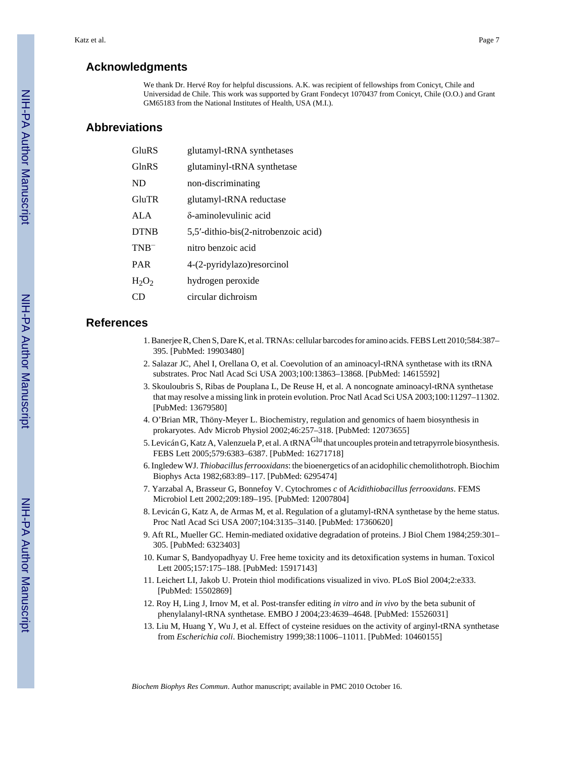## **Acknowledgments**

We thank Dr. Hervé Roy for helpful discussions. A.K. was recipient of fellowships from Conicyt, Chile and Universidad de Chile. This work was supported by Grant Fondecyt 1070437 from Conicyt, Chile (O.O.) and Grant GM65183 from the National Institutes of Health, USA (M.I.).

# **Abbreviations**

| GlnRS<br>glutaminyl-tRNA synthetase                 |  |
|-----------------------------------------------------|--|
| ND<br>non-discriminating                            |  |
| GluTR<br>glutamyl-tRNA reductase                    |  |
| δ-aminolevulinic acid<br>ALA                        |  |
| <b>DTNB</b><br>5,5'-dithio-bis(2-nitrobenzoic acid) |  |
| nitro benzoic acid<br>$TNB^{-}$                     |  |
| <b>PAR</b><br>4-(2-pyridylazo) resorcinol           |  |
| hydrogen peroxide<br>$H_2O_2$                       |  |
| circular dichroism                                  |  |

#### **References**

- 1. Banerjee R, Chen S, Dare K, et al. TRNAs: cellular barcodes for amino acids. FEBS Lett 2010;584:387– 395. [PubMed: 19903480]
- 2. Salazar JC, Ahel I, Orellana O, et al. Coevolution of an aminoacyl-tRNA synthetase with its tRNA substrates. Proc Natl Acad Sci USA 2003;100:13863–13868. [PubMed: 14615592]
- 3. Skouloubris S, Ribas de Pouplana L, De Reuse H, et al. A noncognate aminoacyl-tRNA synthetase that may resolve a missing link in protein evolution. Proc Natl Acad Sci USA 2003;100:11297–11302. [PubMed: 13679580]
- 4. O'Brian MR, Thöny-Meyer L. Biochemistry, regulation and genomics of haem biosynthesis in prokaryotes. Adv Microb Physiol 2002;46:257–318. [PubMed: 12073655]
- 5. Levicán G, Katz A, Valenzuela P, et al. A tRNA<sup>Glu</sup> that uncouples protein and tetrapyrrole biosynthesis. FEBS Lett 2005;579:6383–6387. [PubMed: 16271718]
- 6. Ingledew WJ. *Thiobacillus ferrooxidans*: the bioenergetics of an acidophilic chemolithotroph. Biochim Biophys Acta 1982;683:89–117. [PubMed: 6295474]
- 7. Yarzabal A, Brasseur G, Bonnefoy V. Cytochromes *c* of *Acidithiobacillus ferrooxidans*. FEMS Microbiol Lett 2002;209:189–195. [PubMed: 12007804]
- 8. Levicán G, Katz A, de Armas M, et al. Regulation of a glutamyl-tRNA synthetase by the heme status. Proc Natl Acad Sci USA 2007;104:3135–3140. [PubMed: 17360620]
- 9. Aft RL, Mueller GC. Hemin-mediated oxidative degradation of proteins. J Biol Chem 1984;259:301– 305. [PubMed: 6323403]
- 10. Kumar S, Bandyopadhyay U. Free heme toxicity and its detoxification systems in human. Toxicol Lett 2005;157:175–188. [PubMed: 15917143]
- 11. Leichert LI, Jakob U. Protein thiol modifications visualized in vivo. PLoS Biol 2004;2:e333. [PubMed: 15502869]
- 12. Roy H, Ling J, Irnov M, et al. Post-transfer editing *in vitro* and *in vivo* by the beta subunit of phenylalanyl-tRNA synthetase. EMBO J 2004;23:4639–4648. [PubMed: 15526031]
- 13. Liu M, Huang Y, Wu J, et al. Effect of cysteine residues on the activity of arginyl-tRNA synthetase from *Escherichia coli*. Biochemistry 1999;38:11006–11011. [PubMed: 10460155]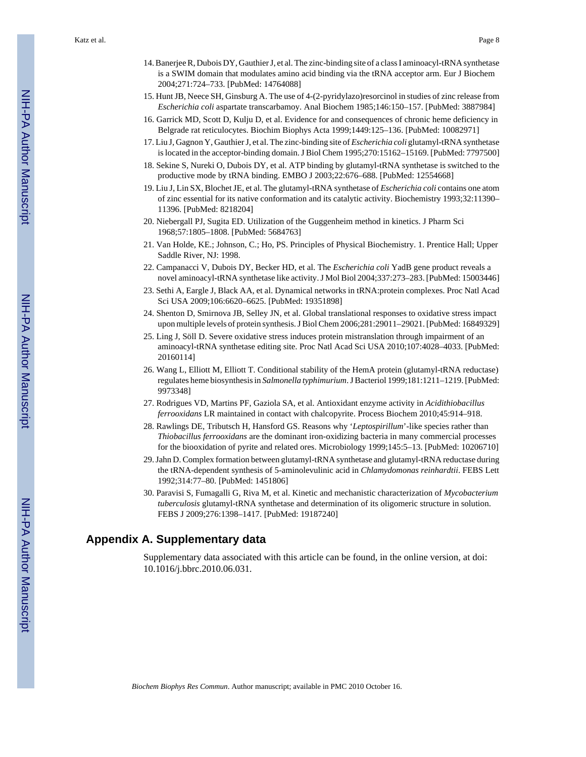Katz et al. Page 8

- 14. Banerjee R, Dubois DY, Gauthier J, et al. The zinc-binding site of a class I aminoacyl-tRNA synthetase is a SWIM domain that modulates amino acid binding via the tRNA acceptor arm. Eur J Biochem 2004;271:724–733. [PubMed: 14764088]
- 15. Hunt JB, Neece SH, Ginsburg A. The use of 4-(2-pyridylazo)resorcinol in studies of zinc release from *Escherichia coli* aspartate transcarbamoy. Anal Biochem 1985;146:150–157. [PubMed: 3887984]
- 16. Garrick MD, Scott D, Kulju D, et al. Evidence for and consequences of chronic heme deficiency in Belgrade rat reticulocytes. Biochim Biophys Acta 1999;1449:125–136. [PubMed: 10082971]
- 17. Liu J, Gagnon Y, Gauthier J, et al. The zinc-binding site of *Escherichia coli* glutamyl-tRNA synthetase is located in the acceptor-binding domain. J Biol Chem 1995;270:15162–15169. [PubMed: 7797500]
- 18. Sekine S, Nureki O, Dubois DY, et al. ATP binding by glutamyl-tRNA synthetase is switched to the productive mode by tRNA binding. EMBO J 2003;22:676–688. [PubMed: 12554668]
- 19. Liu J, Lin SX, Blochet JE, et al. The glutamyl-tRNA synthetase of *Escherichia coli* contains one atom of zinc essential for its native conformation and its catalytic activity. Biochemistry 1993;32:11390– 11396. [PubMed: 8218204]
- 20. Niebergall PJ, Sugita ED. Utilization of the Guggenheim method in kinetics. J Pharm Sci 1968;57:1805–1808. [PubMed: 5684763]
- 21. Van Holde, KE.; Johnson, C.; Ho, PS. Principles of Physical Biochemistry. 1. Prentice Hall; Upper Saddle River, NJ: 1998.
- 22. Campanacci V, Dubois DY, Becker HD, et al. The *Escherichia coli* YadB gene product reveals a novel aminoacyl-tRNA synthetase like activity. J Mol Biol 2004;337:273–283. [PubMed: 15003446]
- 23. Sethi A, Eargle J, Black AA, et al. Dynamical networks in tRNA:protein complexes. Proc Natl Acad Sci USA 2009;106:6620–6625. [PubMed: 19351898]
- 24. Shenton D, Smirnova JB, Selley JN, et al. Global translational responses to oxidative stress impact upon multiple levels of protein synthesis. J Biol Chem 2006;281:29011–29021. [PubMed: 16849329]
- 25. Ling J, Söll D. Severe oxidative stress induces protein mistranslation through impairment of an aminoacyl-tRNA synthetase editing site. Proc Natl Acad Sci USA 2010;107:4028–4033. [PubMed: 20160114]
- 26. Wang L, Elliott M, Elliott T. Conditional stability of the HemA protein (glutamyl-tRNA reductase) regulates heme biosynthesis in *Salmonella typhimurium*. J Bacteriol 1999;181:1211–1219. [PubMed: 9973348]
- 27. Rodrigues VD, Martins PF, Gaziola SA, et al. Antioxidant enzyme activity in *Acidithiobacillus ferrooxidans* LR maintained in contact with chalcopyrite. Process Biochem 2010;45:914–918.
- 28. Rawlings DE, Tributsch H, Hansford GS. Reasons why '*Leptospirillum*'-like species rather than *Thiobacillus ferrooxidans* are the dominant iron-oxidizing bacteria in many commercial processes for the biooxidation of pyrite and related ores. Microbiology 1999;145:5–13. [PubMed: 10206710]
- 29. Jahn D. Complex formation between glutamyl-tRNA synthetase and glutamyl-tRNA reductase during the tRNA-dependent synthesis of 5-aminolevulinic acid in *Chlamydomonas reinhardtii*. FEBS Lett 1992;314:77–80. [PubMed: 1451806]
- 30. Paravisi S, Fumagalli G, Riva M, et al. Kinetic and mechanistic characterization of *Mycobacterium tuberculosis* glutamyl-tRNA synthetase and determination of its oligomeric structure in solution. FEBS J 2009;276:1398–1417. [PubMed: 19187240]

#### **Appendix A. Supplementary data**

Supplementary data associated with this article can be found, in the online version, at doi: 10.1016/j.bbrc.2010.06.031.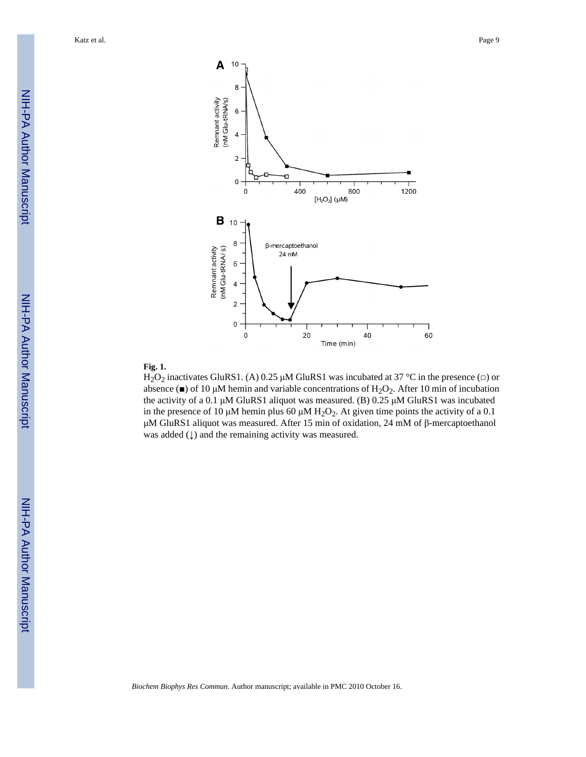Katz et al. Page 9



#### **Fig. 1.**

H<sub>2</sub>O<sub>2</sub> inactivates GluRS1. (A) 0.25 μM GluRS1 was incubated at 37 °C in the presence ( $\Box$ ) or absence ( $\blacksquare$ ) of 10 µM hemin and variable concentrations of H<sub>2</sub>O<sub>2</sub>. After 10 min of incubation the activity of a 0.1 μM GluRS1 aliquot was measured. (B) 0.25 μM GluRS1 was incubated in the presence of 10 μM hemin plus 60 μM  $H_2O_2$ . At given time points the activity of a 0.1 μM GluRS1 aliquot was measured. After 15 min of oxidation, 24 mM of β-mercaptoethanol was added  $($  $\downarrow$  $)$  and the remaining activity was measured.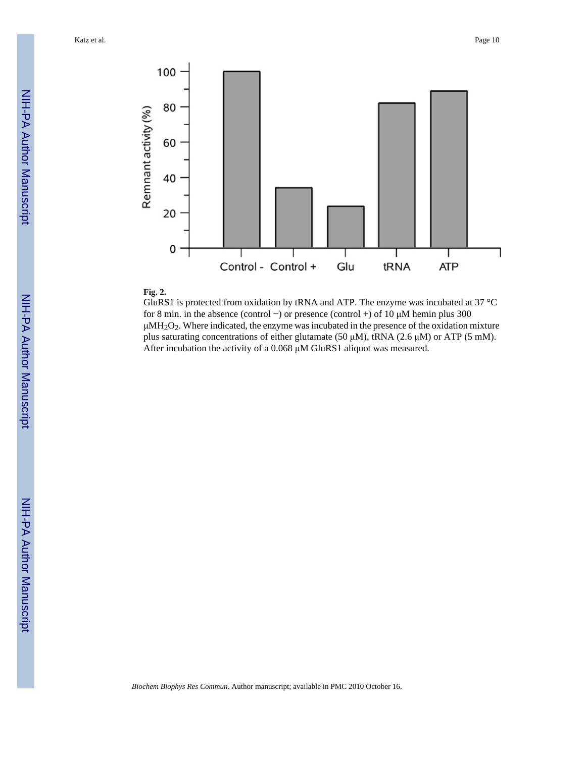

#### **Fig. 2.**

GluRS1 is protected from oxidation by tRNA and ATP. The enzyme was incubated at 37 °C for 8 min. in the absence (control −) or presence (control +) of 10 μM hemin plus 300  $\mu$ MH<sub>2</sub>O<sub>2</sub>. Where indicated, the enzyme was incubated in the presence of the oxidation mixture plus saturating concentrations of either glutamate (50 μM), tRNA (2.6 μM) or ATP (5 mM). After incubation the activity of a 0.068 μM GluRS1 aliquot was measured.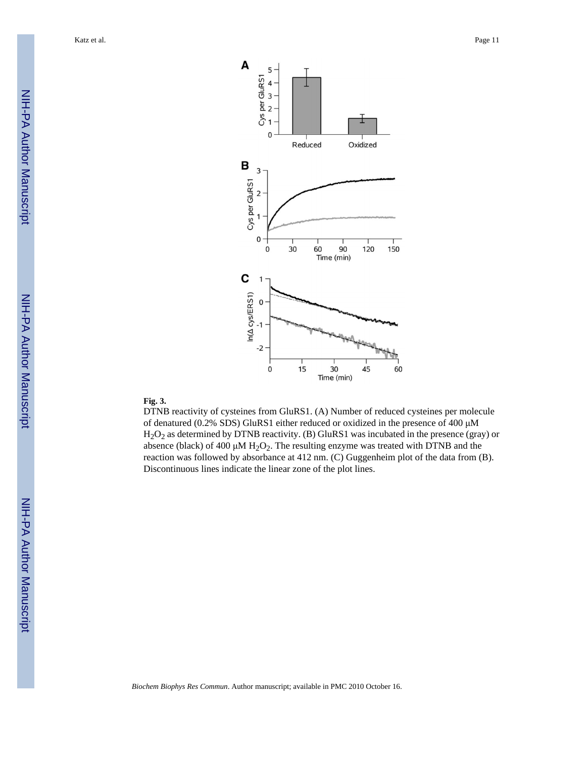

#### **Fig. 3.**

DTNB reactivity of cysteines from GluRS1. (A) Number of reduced cysteines per molecule of denatured (0.2% SDS) GluRS1 either reduced or oxidized in the presence of 400 μM H2O2 as determined by DTNB reactivity. (B) GluRS1 was incubated in the presence (gray) or absence (black) of 400  $\mu$ M H<sub>2</sub>O<sub>2</sub>. The resulting enzyme was treated with DTNB and the reaction was followed by absorbance at 412 nm. (C) Guggenheim plot of the data from (B). Discontinuous lines indicate the linear zone of the plot lines.